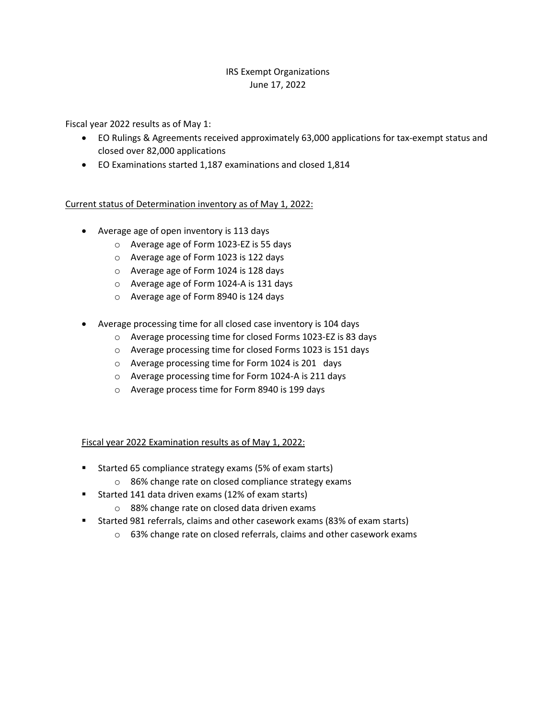## IRS Exempt Organizations June 17, 2022

Fiscal year 2022 results as of May 1:

- EO Rulings & Agreements received approximately 63,000 applications for tax-exempt status and closed over 82,000 applications
- EO Examinations started 1,187 examinations and closed 1,814

## Current status of Determination inventory as of May 1, 2022:

- Average age of open inventory is 113 days
	- o Average age of Form 1023-EZ is 55 days
	- o Average age of Form 1023 is 122 days
	- o Average age of Form 1024 is 128 days
	- o Average age of Form 1024-A is 131 days
	- o Average age of Form 8940 is 124 days
- Average processing time for all closed case inventory is 104 days
	- o Average processing time for closed Forms 1023-EZ is 83 days
	- o Average processing time for closed Forms 1023 is 151 days
	- o Average processing time for Form 1024 is 201 days
	- o Average processing time for Form 1024-A is 211 days
	- o Average process time for Form 8940 is 199 days

## Fiscal year 2022 Examination results as of May 1, 2022:

- **Started 65 compliance strategy exams (5% of exam starts)** 
	- o 86% change rate on closed compliance strategy exams
- Started 141 data driven exams (12% of exam starts)
	- o 88% change rate on closed data driven exams
- Started 981 referrals, claims and other casework exams (83% of exam starts)
	- o 63% change rate on closed referrals, claims and other casework exams